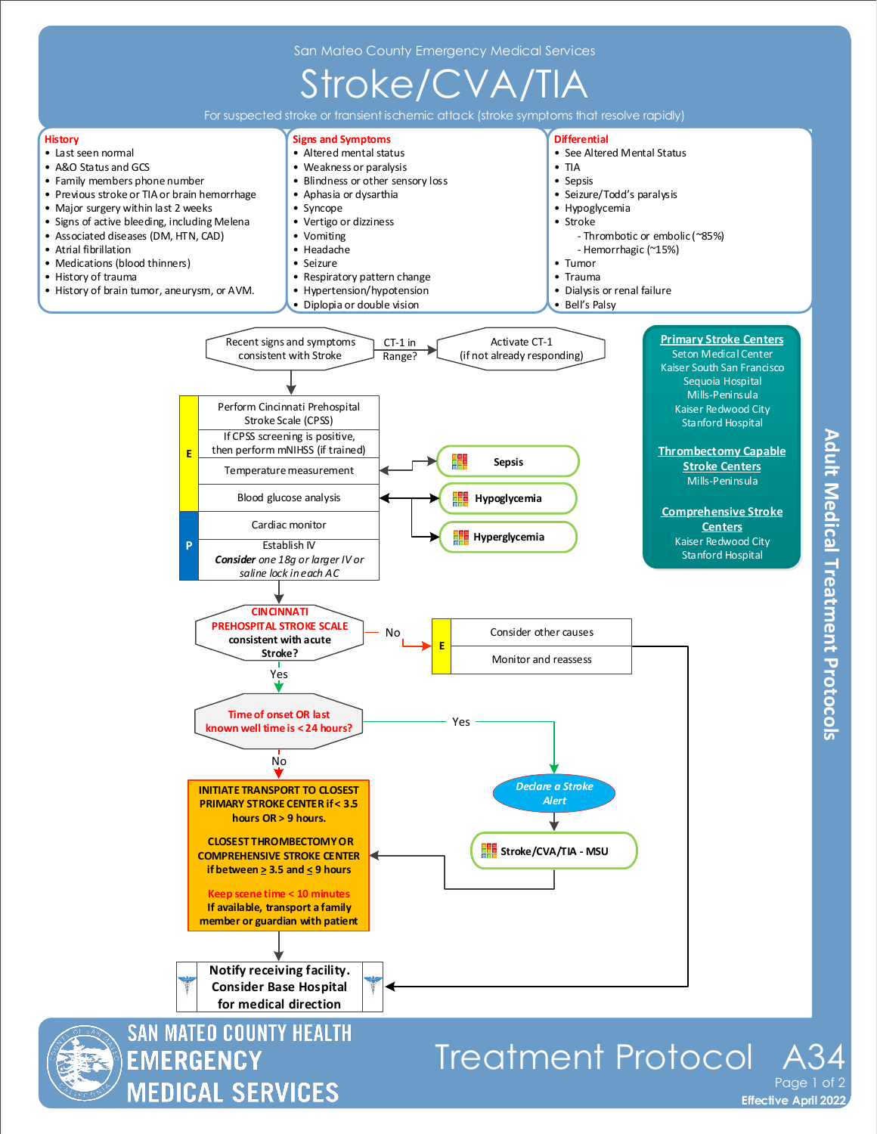

**MEDICAL SERVICES** 

**Effective April 2022** Page 1